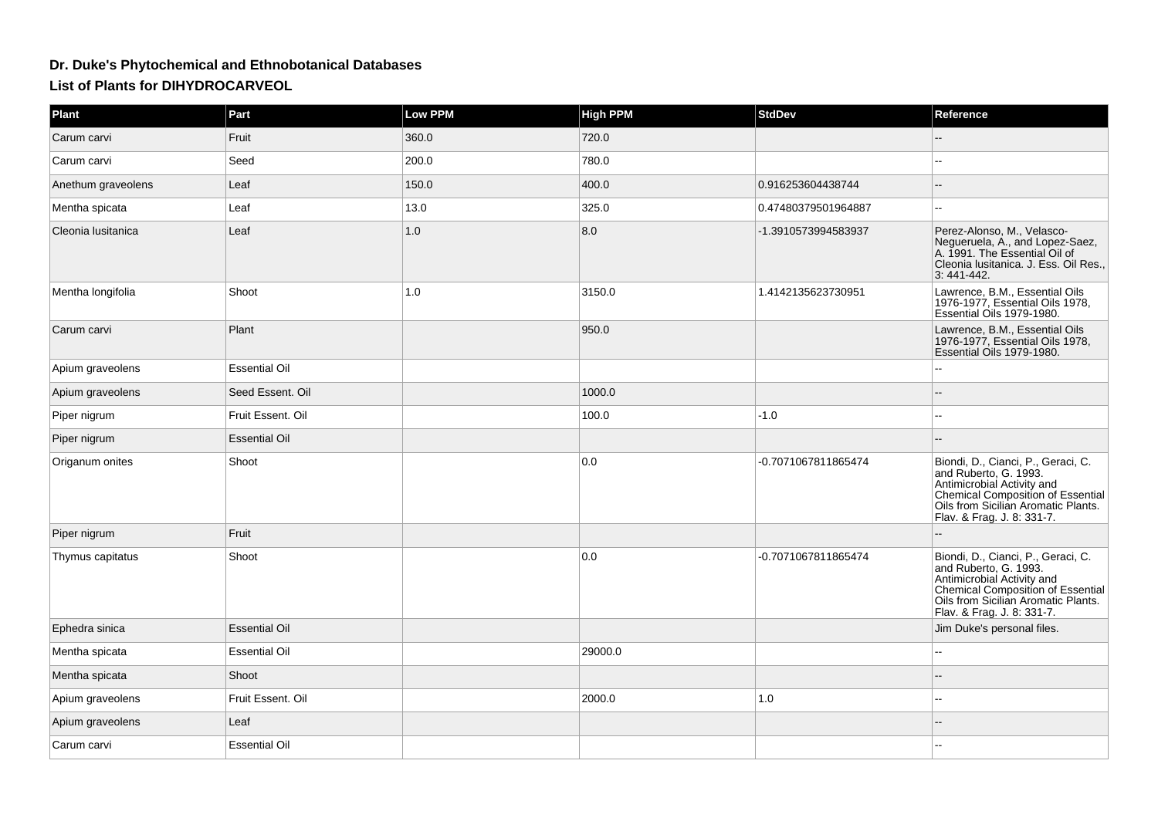## **Dr. Duke's Phytochemical and Ethnobotanical DatabasesList of Plants for DIHYDROCARVEOL**

| Plant              | Part                 | Low PPM | <b>High PPM</b> | <b>StdDev</b>       | Reference                                                                                                                                                                                           |
|--------------------|----------------------|---------|-----------------|---------------------|-----------------------------------------------------------------------------------------------------------------------------------------------------------------------------------------------------|
| Carum carvi        | Fruit                | 360.0   | 720.0           |                     |                                                                                                                                                                                                     |
| Carum carvi        | Seed                 | 200.0   | 780.0           |                     | --                                                                                                                                                                                                  |
| Anethum graveolens | Leaf                 | 150.0   | 400.0           | 0.916253604438744   |                                                                                                                                                                                                     |
| Mentha spicata     | Leaf                 | 13.0    | 325.0           | 0.47480379501964887 | --                                                                                                                                                                                                  |
| Cleonia Iusitanica | Leaf                 | 1.0     | 8.0             | -1.3910573994583937 | Perez-Alonso, M., Velasco-<br>Negueruela, A., and Lopez-Saez,<br>A. 1991. The Essential Oil of<br>Cleonia Iusitanica. J. Ess. Oil Res.,<br>3:441-442.                                               |
| Mentha longifolia  | Shoot                | 1.0     | 3150.0          | 1.4142135623730951  | Lawrence, B.M., Essential Oils<br>1976-1977, Essential Oils 1978,<br>Essential Oils 1979-1980.                                                                                                      |
| Carum carvi        | Plant                |         | 950.0           |                     | Lawrence, B.M., Essential Oils<br>1976-1977, Essential Oils 1978,<br>Essential Oils 1979-1980.                                                                                                      |
| Apium graveolens   | <b>Essential Oil</b> |         |                 |                     |                                                                                                                                                                                                     |
| Apium graveolens   | Seed Essent. Oil     |         | 1000.0          |                     |                                                                                                                                                                                                     |
| Piper nigrum       | Fruit Essent. Oil    |         | 100.0           | $-1.0$              |                                                                                                                                                                                                     |
| Piper nigrum       | <b>Essential Oil</b> |         |                 |                     |                                                                                                                                                                                                     |
| Origanum onites    | Shoot                |         | 0.0             | -0.7071067811865474 | Biondi, D., Cianci, P., Geraci, C.<br>and Ruberto, G. 1993.<br>Antimicrobial Activity and<br>Chemical Composition of Essential<br>Oils from Sicilian Aromatic Plants.<br>Flav. & Frag. J. 8: 331-7. |
| Piper nigrum       | Fruit                |         |                 |                     |                                                                                                                                                                                                     |
| Thymus capitatus   | Shoot                |         | 0.0             | -0.7071067811865474 | Biondi, D., Cianci, P., Geraci, C.<br>and Ruberto, G. 1993.<br>Antimicrobial Activity and<br>Chemical Composition of Essential<br>Oils from Sicilian Aromatic Plants.<br>Flav. & Frag. J. 8: 331-7. |
| Ephedra sinica     | <b>Essential Oil</b> |         |                 |                     | Jim Duke's personal files.                                                                                                                                                                          |
| Mentha spicata     | <b>Essential Oil</b> |         | 29000.0         |                     |                                                                                                                                                                                                     |
| Mentha spicata     | Shoot                |         |                 |                     |                                                                                                                                                                                                     |
| Apium graveolens   | Fruit Essent. Oil    |         | 2000.0          | 1.0                 | ۵.                                                                                                                                                                                                  |
| Apium graveolens   | Leaf                 |         |                 |                     |                                                                                                                                                                                                     |
| Carum carvi        | <b>Essential Oil</b> |         |                 |                     |                                                                                                                                                                                                     |